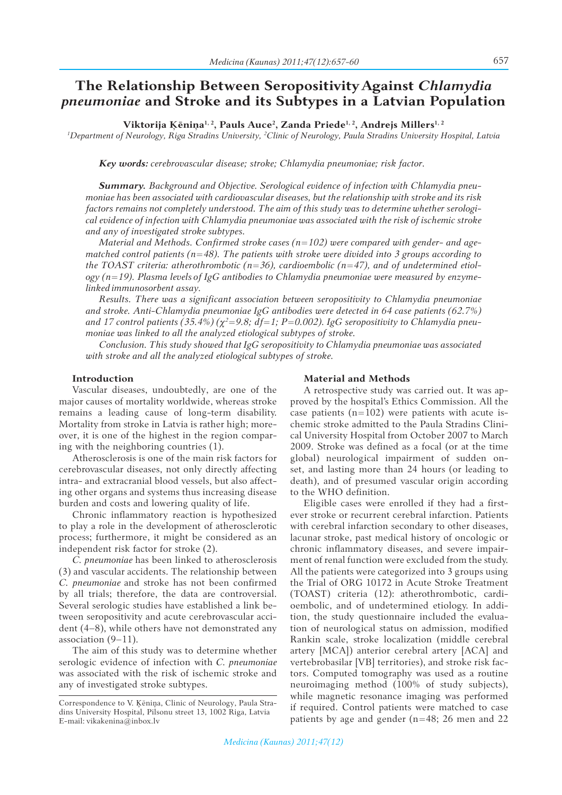657

# **The Relationship Between SeropositivityAgainst** *Chlamydia pneumoniae* **and Stroke and its Subtypes in a Latvian Population**

**Viktorija Ķēniņa1, 2, Pauls Auce2 , Zanda Priede1, 2, Andrejs Millers1, 2**

*1 Department of Neurology, Riga Stradins University, 2 Clinic of Neurology, Paula Stradins University Hospital, Latvia*

*Key words: cerebrovascular disease; stroke; Chlamydia pneumoniae; risk factor.*

*Summary. Background and Objective. Serological evidence of infection with Chlamydia pneumoniae has been associated with cardiovascular diseases, but the relationship with stroke and its risk factors remains not completely understood. The aim of this study was to determine whether serological evidence of infection with Chlamydia pneumoniae was associated with the risk of ischemic stroke and any of investigated stroke subtypes.*

*Material and Methods. Confirmed stroke cases (n=102) were compared with gender- and agematched control patients (n=48). The patients with stroke were divided into 3 groups according to the TOAST criteria: atherothrombotic (n=36), cardioembolic (n=47), and of undetermined etiology (n=19). Plasma levels of IgG antibodies to Chlamydia pneumoniae were measured by enzymelinked immunosorbent assay.*

*Results. There was a significant association between seropositivity to Chlamydia pneumoniae and stroke. Anti-Chlamydia pneumoniae IgG antibodies were detected in 64 case patients (62.7%) and 17 control patients (35.4%) (χ<sup>2</sup> =9.8; df=1; P=0.002). IgG seropositivity to Chlamydia pneumoniae was linked to all the analyzed etiological subtypes of stroke.*

*Conclusion. This study showed that IgG seropositivity to Chlamydia pneumoniae was associated with stroke and all the analyzed etiological subtypes of stroke.* 

## **Introduction**

Vascular diseases, undoubtedly, are one of the major causes of mortality worldwide, whereas stroke remains a leading cause of long-term disability. Mortality from stroke in Latvia is rather high; moreover, it is one of the highest in the region comparing with the neighboring countries (1).

Atherosclerosis is one of the main risk factors for cerebrovascular diseases, not only directly affecting intra- and extracranial blood vessels, but also affecting other organs and systems thus increasing disease burden and costs and lowering quality of life.

Chronic inflammatory reaction is hypothesized to play a role in the development of atherosclerotic process; furthermore, it might be considered as an independent risk factor for stroke (2).

*C. pneumoniae* has been linked to atherosclerosis (3) and vascular accidents. The relationship between *C. pneumoniae* and stroke has not been confirmed by all trials; therefore, the data are controversial. Several serologic studies have established a link between seropositivity and acute cerebrovascular accident (4–8), while others have not demonstrated any association (9–11).

The aim of this study was to determine whether serologic evidence of infection with *C. pneumoniae* was associated with the risk of ischemic stroke and any of investigated stroke subtypes.

### **Material and Methods**

A retrospective study was carried out. It was approved by the hospital's Ethics Commission. All the case patients  $(n=102)$  were patients with acute ischemic stroke admitted to the Paula Stradins Clinical University Hospital from October 2007 to March 2009. Stroke was defined as a focal (or at the time global) neurological impairment of sudden onset, and lasting more than 24 hours (or leading to death), and of presumed vascular origin according to the WHO definition.

Eligible cases were enrolled if they had a firstever stroke or recurrent cerebral infarction. Patients with cerebral infarction secondary to other diseases, lacunar stroke, past medical history of oncologic or chronic inflammatory diseases, and severe impairment of renal function were excluded from the study. All the patients were categorized into 3 groups using the Trial of ORG 10172 in Acute Stroke Treatment (TOAST) criteria (12): atherothrombotic, cardioembolic, and of undetermined etiology. In addition, the study questionnaire included the evaluation of neurological status on admission, modified Rankin scale, stroke localization (middle cerebral artery [MCA]) anterior cerebral artery [ACA] and vertebrobasilar [VB] territories), and stroke risk factors. Computed tomography was used as a routine neuroimaging method (100% of study subjects), while magnetic resonance imaging was performed if required. Control patients were matched to case patients by age and gender (n=48; 26 men and 22

Correspondence to V. Ķēniņa, Clinic of Neurology, Paula Stradins University Hospital, Pilsonu street 13, 1002 Riga, Latvia E-mail: vikakenina@inbox.lv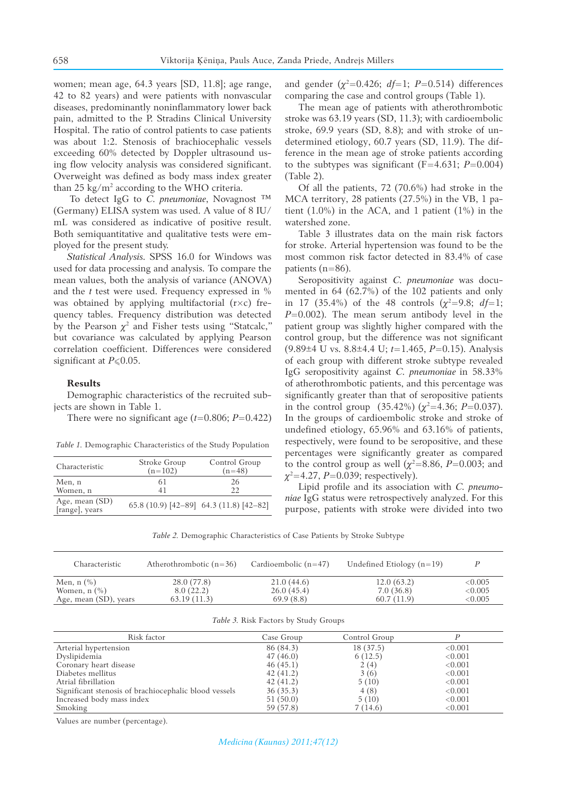women; mean age, 64.3 years [SD, 11.8]; age range, 42 to 82 years) and were patients with nonvascular diseases, predominantly noninflammatory lower back pain, admitted to the P. Stradins Clinical University Hospital. The ratio of control patients to case patients was about 1:2. Stenosis of brachiocephalic vessels exceeding 60% detected by Doppler ultrasound using flow velocity analysis was considered significant. Overweight was defined as body mass index greater than 25 kg/m2 according to the WHO criteria.

To detect IgG to *C. pneumoniae*, Novagnost ™ (Germany) ELISA system was used. A value of 8 IU/ mL was considered as indicative of positive result. Both semiquantitative and qualitative tests were employed for the present study.

*Statistical Analysis.* SPSS 16.0 for Windows was used for data processing and analysis. To compare the mean values, both the analysis of variance (ANOVA) and the *t* test were used. Frequency expressed in % was obtained by applying multifactorial  $(r \times c)$  frequency tables. Frequency distribution was detected by the Pearson  $\chi^2$  and Fisher tests using "Statcalc," but covariance was calculated by applying Pearson correlation coefficient. Differences were considered significant at *P*≤0.05.

#### **Results**

Demographic characteristics of the recruited subjects are shown in Table 1.

There were no significant age  $(t=0.806; P=0.422)$ 

*Table 1.* Demographic Characteristics of the Study Population

| Characteristic                   | Stroke Group<br>$(n=102)$ | Control Group<br>$(n=48)$               |
|----------------------------------|---------------------------|-----------------------------------------|
| Men, n<br>Women, n               | 61<br>41                  | 26<br>22                                |
| Age, mean (SD)<br>[range], years |                           | 65.8 (10.9) [42-89] 64.3 (11.8) [42-82] |

and gender ( $\chi^2$ =0.426; *df*=1; *P*=0.514) differences comparing the case and control groups (Table 1).

The mean age of patients with atherothrombotic stroke was 63.19 years (SD, 11.3); with cardioembolic stroke, 69.9 years (SD, 8.8); and with stroke of undetermined etiology, 60.7 years (SD, 11.9). The difference in the mean age of stroke patients according to the subtypes was significant  $(F=4.631; P=0.004)$ (Table 2).

Of all the patients, 72 (70.6%) had stroke in the MCA territory, 28 patients (27.5%) in the VB, 1 patient (1.0%) in the ACA, and 1 patient (1%) in the watershed zone.

Table 3 illustrates data on the main risk factors for stroke. Arterial hypertension was found to be the most common risk factor detected in 83.4% of case patients (n=86).

Seropositivity against *C. pneumoniae* was documented in 64 (62.7%) of the 102 patients and only in 17 (35.4%) of the 48 controls  $(\chi^2=9.8; df=1;$ *P*=0.002). The mean serum antibody level in the patient group was slightly higher compared with the control group, but the difference was not significant (9.89±4 U vs. 8.8±4.4 U; *t*=1.465, *P*=0.15). Analysis of each group with different stroke subtype revealed IgG seropositivity against *C. pneumoniae* in 58.33% of atherothrombotic patients, and this percentage was significantly greater than that of seropositive patients in the control group  $(35.42\%) (\chi^2=4.36; P=0.037)$ . In the groups of cardioembolic stroke and stroke of undefined etiology, 65.96% and 63.16% of patients, respectively, were found to be seropositive, and these percentages were significantly greater as compared to the control group as well  $(\chi^2=8.86, P=0.003;$  and *χ*<sup>2</sup>=4.27, *P*=0.039; respectively).

Lipid profile and its association with *C. pneumoniae* IgG status were retrospectively analyzed. For this purpose, patients with stroke were divided into two

*Table 2.* Demographic Characteristics of Case Patients by Stroke Subtype

| Characteristic        | Atherothrombotic $(n=36)$ | Cardioembolic $(n=47)$ | Undefined Etiology $(n=19)$ |            |
|-----------------------|---------------------------|------------------------|-----------------------------|------------|
| Men, $n$ $(\% )$      | 28.0 (77.8)               | 21.0(44.6)             | 12.0(63.2)                  | ${<}0.005$ |
| Women, $n$ $(\%)$     | 8.0(22.2)                 | 26.0(45.4)             | 7.0(36.8)                   | <0.005     |
| Age, mean (SD), years | 63.19(11.3)               | 69.9(8.8)              | 60.7(11.9)                  | ${<}0.005$ |

|  |  |  |  |  | Table 3. Risk Factors by Study Groups |
|--|--|--|--|--|---------------------------------------|
|--|--|--|--|--|---------------------------------------|

| Risk factor                                           | Case Group | Control Group |         |
|-------------------------------------------------------|------------|---------------|---------|
| Arterial hypertension                                 | 86 (84.3)  | 18 (37.5)     | < 0.001 |
| Dyslipidemia                                          | 47(46.0)   | 6(12.5)       | < 0.001 |
| Coronary heart disease                                | 46(45.1)   | 2(4)          | < 0.001 |
| Diabetes mellitus                                     | 42(41.2)   | 3(6)          | < 0.001 |
| Atrial fibrillation                                   | 42(41.2)   | 5(10)         | < 0.001 |
| Significant stenosis of brachiocephalic blood vessels | 36(35.3)   | 4 (8)         | < 0.001 |
| Increased body mass index                             | 51(50.0)   | 5(10)         | < 0.001 |
| Smoking                                               | 59 (57.8)  | 7(14.6)       | < 0.001 |

Values are number (percentage).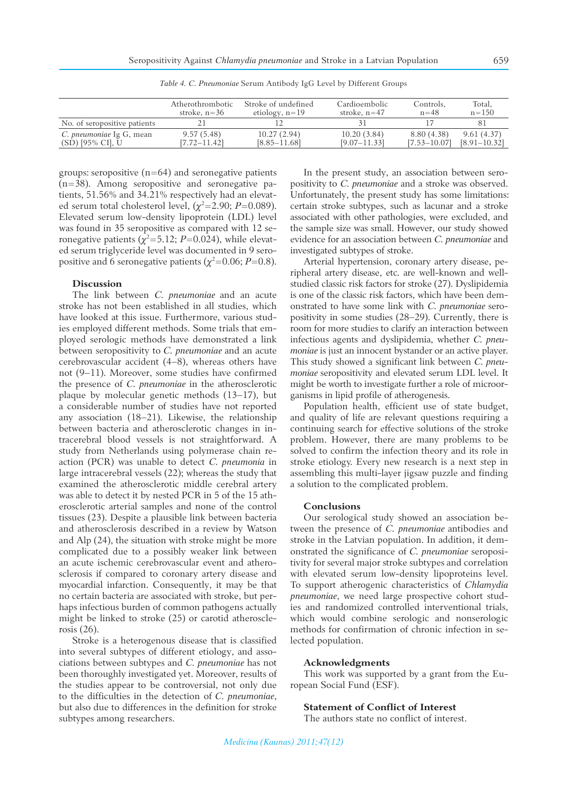*Table 4. C. Pneumoniae* Serum Antibody IgG Level by Different Groups

|                              | Atherothrombotic | Stroke of undefined | Cardioembolic    | Controls,        | Total,           |
|------------------------------|------------------|---------------------|------------------|------------------|------------------|
|                              | stroke, $n = 36$ | etiology, $n=19$    | stroke, $n=47$   | $n = 48$         | $n = 150$        |
| No. of seropositive patients |                  |                     |                  |                  | 81               |
| C. pneumoniae Ig G, mean     | 9.57(5.48)       | 10.27(2.94)         | 10.20(3.84)      | 8.80 (4.38)      | 9.61(4.37)       |
| $(SD)$ [95% CI], U           | [7.72–11.42]     | $[8.85 - 11.68]$    | $[9.07 - 11.33]$ | $[7.53 - 10.07]$ | $[8.91 - 10.32]$ |

groups: seropositive  $(n=64)$  and seronegative patients (n=38). Among seropositive and seronegative patients, 51.56% and 34.21% respectively had an elevated serum total cholesterol level,  $(\chi^2=2.90; P=0.089)$ . Elevated serum low-density lipoprotein (LDL) level was found in 35 seropositive as compared with 12 seronegative patients ( $\chi^2$ =5.12; *P*=0.024), while elevated serum triglyceride level was documented in 9 seropositive and 6 seronegative patients ( $\chi^2$ =0.06; *P*=0.8).

## **Discussion**

The link between *C. pneumoniae* and an acute stroke has not been established in all studies, which have looked at this issue. Furthermore, various studies employed different methods. Some trials that employed serologic methods have demonstrated a link between seropositivity to *C. pneumoniae* and an acute cerebrovascular accident (4–8), whereas others have not  $(9-11)$ . Moreover, some studies have confirmed the presence of *C. pneumoniae* in the atherosclerotic plaque by molecular genetic methods (13–17), but a considerable number of studies have not reported any association (18–21). Likewise, the relationship between bacteria and atherosclerotic changes in intracerebral blood vessels is not straightforward. A study from Netherlands using polymerase chain reaction (PCR) was unable to detect *C. pneumonia* in large intracerebral vessels (22); whereas the study that examined the atherosclerotic middle cerebral artery was able to detect it by nested PCR in 5 of the 15 atherosclerotic arterial samples and none of the control tissues (23). Despite a plausible link between bacteria and atherosclerosis described in a review by Watson and Alp (24), the situation with stroke might be more complicated due to a possibly weaker link between an acute ischemic cerebrovascular event and atherosclerosis if compared to coronary artery disease and myocardial infarction. Consequently, it may be that no certain bacteria are associated with stroke, but perhaps infectious burden of common pathogens actually might be linked to stroke (25) or carotid atherosclerosis (26).

Stroke is a heterogenous disease that is classified into several subtypes of different etiology, and associations between subtypes and *C. pneumoniae* has not been thoroughly investigated yet. Moreover, results of the studies appear to be controversial, not only due to the difficulties in the detection of *C. pneumoniae*, but also due to differences in the definition for stroke subtypes among researchers.

In the present study, an association between seropositivity to *C. pneumoniae* and a stroke was observed. Unfortunately, the present study has some limitations: certain stroke subtypes, such as lacunar and a stroke associated with other pathologies, were excluded, and the sample size was small. However, our study showed evidence for an association between *C. pneumoniae* and investigated subtypes of stroke.

Arterial hypertension, coronary artery disease, peripheral artery disease, etc. are well-known and wellstudied classic risk factors for stroke (27). Dyslipidemia is one of the classic risk factors, which have been demonstrated to have some link with *C. pneumoniae* seropositivity in some studies (28–29). Currently, there is room for more studies to clarify an interaction between infectious agents and dyslipidemia, whether *C. pneumoniae* is just an innocent bystander or an active player. This study showed a significant link between *C. pneumoniae* seropositivity and elevated serum LDL level. It might be worth to investigate further a role of microorganisms in lipid profile of atherogenesis.

Population health, efficient use of state budget, and quality of life are relevant questions requiring a continuing search for effective solutions of the stroke problem. However, there are many problems to be solved to confirm the infection theory and its role in stroke etiology. Every new research is a next step in assembling this multi-layer jigsaw puzzle and finding a solution to the complicated problem.

#### **Conclusions**

Our serological study showed an association between the presence of *C. pneumoniae* antibodies and stroke in the Latvian population. In addition, it demonstrated the significance of *C. pneumoniae* seropositivity for several major stroke subtypes and correlation with elevated serum low-density lipoproteins level. To support atherogenic characteristics of *Chlamydia pneumoniae*, we need large prospective cohort studies and randomized controlled interventional trials, which would combine serologic and nonserologic methods for confirmation of chronic infection in selected population.

#### **Acknowledgments**

This work was supported by a grant from the European Social Fund (ESF).

## **Statement of Conflict of Interest**

The authors state no conflict of interest.